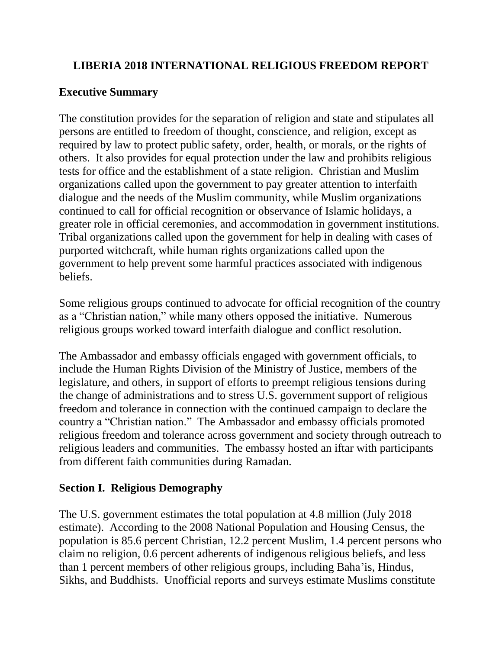### **LIBERIA 2018 INTERNATIONAL RELIGIOUS FREEDOM REPORT**

### **Executive Summary**

The constitution provides for the separation of religion and state and stipulates all persons are entitled to freedom of thought, conscience, and religion, except as required by law to protect public safety, order, health, or morals, or the rights of others. It also provides for equal protection under the law and prohibits religious tests for office and the establishment of a state religion. Christian and Muslim organizations called upon the government to pay greater attention to interfaith dialogue and the needs of the Muslim community, while Muslim organizations continued to call for official recognition or observance of Islamic holidays, a greater role in official ceremonies, and accommodation in government institutions. Tribal organizations called upon the government for help in dealing with cases of purported witchcraft, while human rights organizations called upon the government to help prevent some harmful practices associated with indigenous beliefs.

Some religious groups continued to advocate for official recognition of the country as a "Christian nation," while many others opposed the initiative. Numerous religious groups worked toward interfaith dialogue and conflict resolution.

The Ambassador and embassy officials engaged with government officials, to include the Human Rights Division of the Ministry of Justice, members of the legislature, and others, in support of efforts to preempt religious tensions during the change of administrations and to stress U.S. government support of religious freedom and tolerance in connection with the continued campaign to declare the country a "Christian nation." The Ambassador and embassy officials promoted religious freedom and tolerance across government and society through outreach to religious leaders and communities. The embassy hosted an iftar with participants from different faith communities during Ramadan.

## **Section I. Religious Demography**

The U.S. government estimates the total population at 4.8 million (July 2018 estimate). According to the 2008 National Population and Housing Census, the population is 85.6 percent Christian, 12.2 percent Muslim, 1.4 percent persons who claim no religion, 0.6 percent adherents of indigenous religious beliefs, and less than 1 percent members of other religious groups, including Baha'is, Hindus, Sikhs, and Buddhists. Unofficial reports and surveys estimate Muslims constitute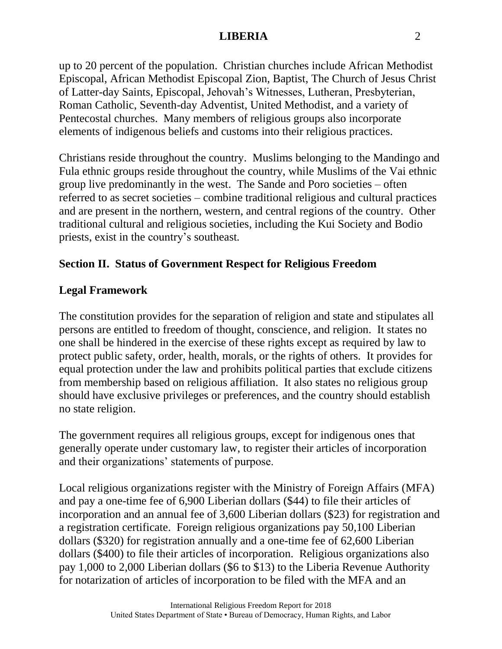up to 20 percent of the population. Christian churches include African Methodist Episcopal, African Methodist Episcopal Zion, Baptist, The Church of Jesus Christ of Latter-day Saints, Episcopal, Jehovah's Witnesses, Lutheran, Presbyterian, Roman Catholic, Seventh-day Adventist, United Methodist, and a variety of Pentecostal churches. Many members of religious groups also incorporate elements of indigenous beliefs and customs into their religious practices.

Christians reside throughout the country. Muslims belonging to the Mandingo and Fula ethnic groups reside throughout the country, while Muslims of the Vai ethnic group live predominantly in the west. The Sande and Poro societies – often referred to as secret societies – combine traditional religious and cultural practices and are present in the northern, western, and central regions of the country. Other traditional cultural and religious societies, including the Kui Society and Bodio priests, exist in the country's southeast*.*

## **Section II. Status of Government Respect for Religious Freedom**

## **Legal Framework**

The constitution provides for the separation of religion and state and stipulates all persons are entitled to freedom of thought, conscience, and religion. It states no one shall be hindered in the exercise of these rights except as required by law to protect public safety, order, health, morals, or the rights of others. It provides for equal protection under the law and prohibits political parties that exclude citizens from membership based on religious affiliation. It also states no religious group should have exclusive privileges or preferences, and the country should establish no state religion.

The government requires all religious groups, except for indigenous ones that generally operate under customary law, to register their articles of incorporation and their organizations' statements of purpose.

Local religious organizations register with the Ministry of Foreign Affairs (MFA) and pay a one-time fee of 6,900 Liberian dollars (\$44) to file their articles of incorporation and an annual fee of 3,600 Liberian dollars (\$23) for registration and a registration certificate. Foreign religious organizations pay 50,100 Liberian dollars (\$320) for registration annually and a one-time fee of 62,600 Liberian dollars (\$400) to file their articles of incorporation. Religious organizations also pay 1,000 to 2,000 Liberian dollars (\$6 to \$13) to the Liberia Revenue Authority for notarization of articles of incorporation to be filed with the MFA and an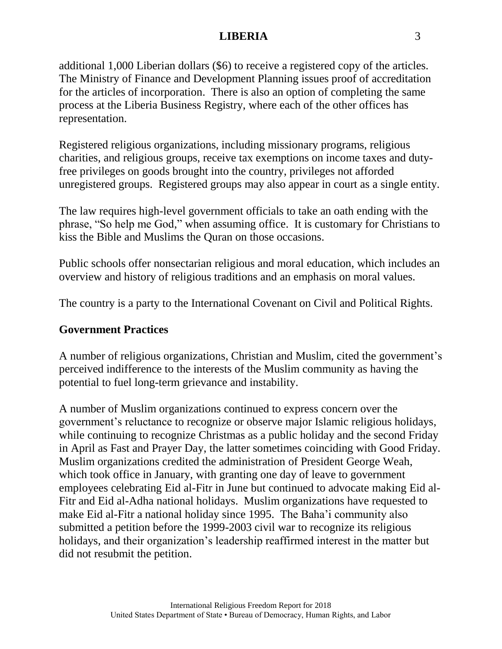additional 1,000 Liberian dollars (\$6) to receive a registered copy of the articles. The Ministry of Finance and Development Planning issues proof of accreditation for the articles of incorporation. There is also an option of completing the same process at the Liberia Business Registry, where each of the other offices has representation.

Registered religious organizations, including missionary programs, religious charities, and religious groups, receive tax exemptions on income taxes and dutyfree privileges on goods brought into the country, privileges not afforded unregistered groups. Registered groups may also appear in court as a single entity.

The law requires high-level government officials to take an oath ending with the phrase, "So help me God," when assuming office. It is customary for Christians to kiss the Bible and Muslims the Quran on those occasions.

Public schools offer nonsectarian religious and moral education, which includes an overview and history of religious traditions and an emphasis on moral values.

The country is a party to the International Covenant on Civil and Political Rights.

#### **Government Practices**

A number of religious organizations, Christian and Muslim, cited the government's perceived indifference to the interests of the Muslim community as having the potential to fuel long-term grievance and instability.

A number of Muslim organizations continued to express concern over the government's reluctance to recognize or observe major Islamic religious holidays, while continuing to recognize Christmas as a public holiday and the second Friday in April as Fast and Prayer Day, the latter sometimes coinciding with Good Friday. Muslim organizations credited the administration of President George Weah, which took office in January, with granting one day of leave to government employees celebrating Eid al-Fitr in June but continued to advocate making Eid al-Fitr and Eid al-Adha national holidays. Muslim organizations have requested to make Eid al-Fitr a national holiday since 1995. The Baha'i community also submitted a petition before the 1999-2003 civil war to recognize its religious holidays, and their organization's leadership reaffirmed interest in the matter but did not resubmit the petition.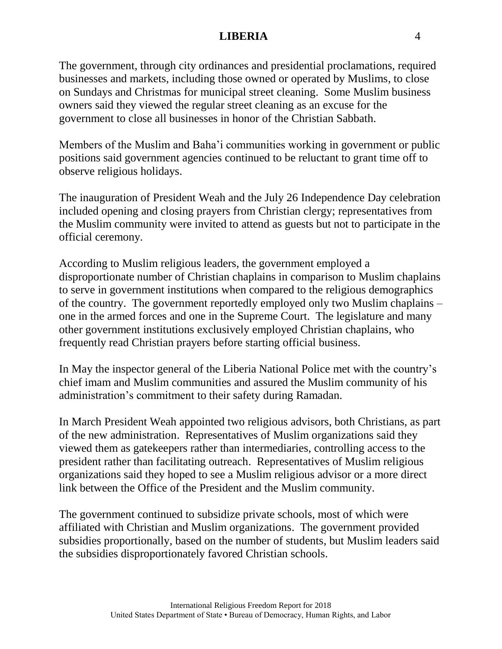The government, through city ordinances and presidential proclamations, required businesses and markets, including those owned or operated by Muslims, to close on Sundays and Christmas for municipal street cleaning. Some Muslim business owners said they viewed the regular street cleaning as an excuse for the government to close all businesses in honor of the Christian Sabbath.

Members of the Muslim and Baha'i communities working in government or public positions said government agencies continued to be reluctant to grant time off to observe religious holidays.

The inauguration of President Weah and the July 26 Independence Day celebration included opening and closing prayers from Christian clergy; representatives from the Muslim community were invited to attend as guests but not to participate in the official ceremony.

According to Muslim religious leaders, the government employed a disproportionate number of Christian chaplains in comparison to Muslim chaplains to serve in government institutions when compared to the religious demographics of the country. The government reportedly employed only two Muslim chaplains – one in the armed forces and one in the Supreme Court. The legislature and many other government institutions exclusively employed Christian chaplains, who frequently read Christian prayers before starting official business.

In May the inspector general of the Liberia National Police met with the country's chief imam and Muslim communities and assured the Muslim community of his administration's commitment to their safety during Ramadan.

In March President Weah appointed two religious advisors, both Christians, as part of the new administration. Representatives of Muslim organizations said they viewed them as gatekeepers rather than intermediaries, controlling access to the president rather than facilitating outreach. Representatives of Muslim religious organizations said they hoped to see a Muslim religious advisor or a more direct link between the Office of the President and the Muslim community.

The government continued to subsidize private schools, most of which were affiliated with Christian and Muslim organizations. The government provided subsidies proportionally, based on the number of students, but Muslim leaders said the subsidies disproportionately favored Christian schools.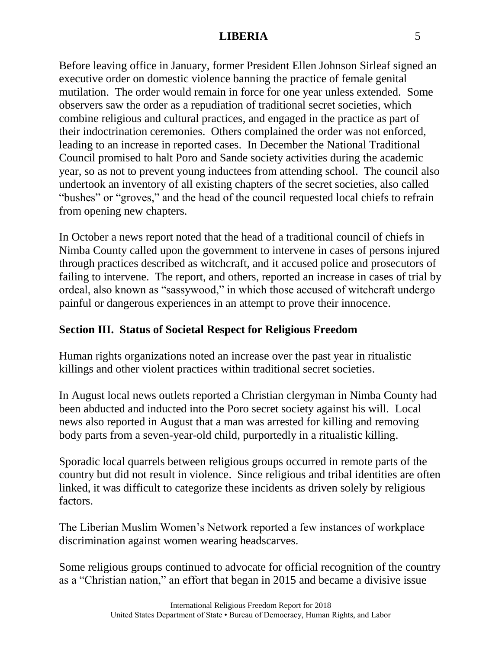Before leaving office in January, former President Ellen Johnson Sirleaf signed an executive order on domestic violence banning the practice of female genital mutilation. The order would remain in force for one year unless extended. Some observers saw the order as a repudiation of traditional secret societies, which combine religious and cultural practices, and engaged in the practice as part of their indoctrination ceremonies. Others complained the order was not enforced, leading to an increase in reported cases. In December the National Traditional Council promised to halt Poro and Sande society activities during the academic year, so as not to prevent young inductees from attending school. The council also undertook an inventory of all existing chapters of the secret societies, also called "bushes" or "groves," and the head of the council requested local chiefs to refrain from opening new chapters.

In October a news report noted that the head of a traditional council of chiefs in Nimba County called upon the government to intervene in cases of persons injured through practices described as witchcraft, and it accused police and prosecutors of failing to intervene. The report, and others, reported an increase in cases of trial by ordeal, also known as "sassywood," in which those accused of witchcraft undergo painful or dangerous experiences in an attempt to prove their innocence.

# **Section III. Status of Societal Respect for Religious Freedom**

Human rights organizations noted an increase over the past year in ritualistic killings and other violent practices within traditional secret societies.

In August local news outlets reported a Christian clergyman in Nimba County had been abducted and inducted into the Poro secret society against his will. Local news also reported in August that a man was arrested for killing and removing body parts from a seven-year-old child, purportedly in a ritualistic killing.

Sporadic local quarrels between religious groups occurred in remote parts of the country but did not result in violence. Since religious and tribal identities are often linked, it was difficult to categorize these incidents as driven solely by religious factors.

The Liberian Muslim Women's Network reported a few instances of workplace discrimination against women wearing headscarves.

Some religious groups continued to advocate for official recognition of the country as a "Christian nation," an effort that began in 2015 and became a divisive issue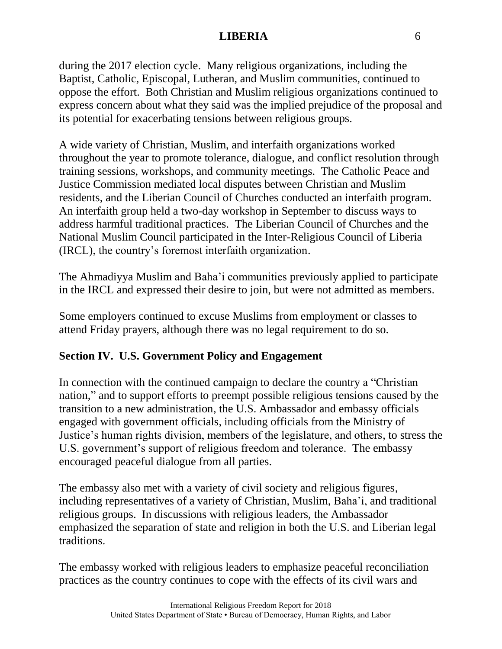during the 2017 election cycle. Many religious organizations, including the Baptist, Catholic, Episcopal, Lutheran, and Muslim communities, continued to oppose the effort. Both Christian and Muslim religious organizations continued to express concern about what they said was the implied prejudice of the proposal and its potential for exacerbating tensions between religious groups.

A wide variety of Christian, Muslim, and interfaith organizations worked throughout the year to promote tolerance, dialogue, and conflict resolution through training sessions, workshops, and community meetings. The Catholic Peace and Justice Commission mediated local disputes between Christian and Muslim residents, and the Liberian Council of Churches conducted an interfaith program. An interfaith group held a two-day workshop in September to discuss ways to address harmful traditional practices. The Liberian Council of Churches and the National Muslim Council participated in the Inter-Religious Council of Liberia (IRCL), the country's foremost interfaith organization.

The Ahmadiyya Muslim and Baha'i communities previously applied to participate in the IRCL and expressed their desire to join, but were not admitted as members.

Some employers continued to excuse Muslims from employment or classes to attend Friday prayers, although there was no legal requirement to do so.

## **Section IV. U.S. Government Policy and Engagement**

In connection with the continued campaign to declare the country a "Christian nation," and to support efforts to preempt possible religious tensions caused by the transition to a new administration, the U.S. Ambassador and embassy officials engaged with government officials, including officials from the Ministry of Justice's human rights division, members of the legislature, and others, to stress the U.S. government's support of religious freedom and tolerance. The embassy encouraged peaceful dialogue from all parties.

The embassy also met with a variety of civil society and religious figures, including representatives of a variety of Christian, Muslim, Baha'i, and traditional religious groups. In discussions with religious leaders, the Ambassador emphasized the separation of state and religion in both the U.S. and Liberian legal traditions.

The embassy worked with religious leaders to emphasize peaceful reconciliation practices as the country continues to cope with the effects of its civil wars and